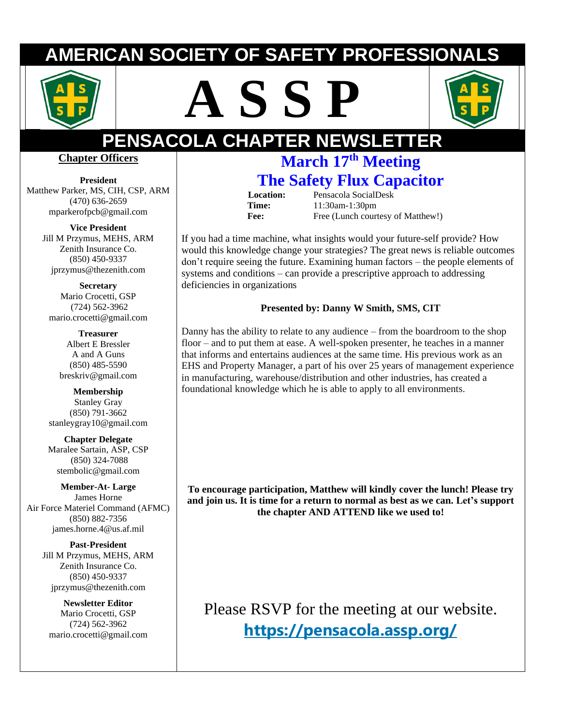# **ERICAN SOCIETY OF SAFETY PROFESSIO**







# **PENSACOLA CHAPTER NEWSLETTER**

#### **Chapter Officers**

**President**  Matthew Parker, MS, CIH, CSP, ARM (470) 636-2659 mparkerofpcb@gmail.com

> **Vice President** Jill M Przymus, MEHS, ARM Zenith Insurance Co. (850) 450-9337 jprzymus@thezenith.com

**Secretary** Mario Crocetti, GSP (724) 562-3962 [mario.crocetti@gmail.com](mailto:stembolic@gmail.com)

**Treasurer** Albert E Bressler A and A Guns (850) 485-5590 [breskriv@gmail.com](mailto:breskriv@gmail.com)

**Membership** Stanley Gray (850) 791-3662 [stanleygray10@gmail.com](mailto:stanleygray10@gmail.com)

**Chapter Delegate** Maralee Sartain, ASP, CSP (850) 324-7088 [stembolic@gmail.com](mailto:stembolic@gmail.com)

**Member-At- Large** James Horne Air Force Materiel Command (AFMC) (850) 882-7356 james.horne.4@us.af.mil

> **Past-President** Jill M Przymus, MEHS, ARM Zenith Insurance Co. (850) 450-9337 jprzymus@thezenith.com

**Newsletter Editor** Mario Crocetti, GSP (724) 562-3962 mario.crocetti@gmail.com

# **March 17th Meeting The Safety Flux Capacitor**

 **Location:** Pensacola SocialDesk **Time:** 11:30am-1:30pm Fee: Free (Lunch courtesy of Matthew!)

If you had a time machine, what insights would your future-self provide? How would this knowledge change your strategies? The great news is reliable outcomes don't require seeing the future. Examining human factors – the people elements of systems and conditions – can provide a prescriptive approach to addressing deficiencies in organizations

#### **Presented by: Danny W Smith, SMS, CIT**

Danny has the ability to relate to any audience – from the boardroom to the shop floor – and to put them at ease. A well-spoken presenter, he teaches in a manner that informs and entertains audiences at the same time. His previous work as an EHS and Property Manager, a part of his over 25 years of management experience in manufacturing, warehouse/distribution and other industries, has created a foundational knowledge which he is able to apply to all environments.

**To encourage participation, Matthew will kindly cover the lunch! Please try and join us. It is time for a return to normal as best as we can. Let's support the chapter AND ATTEND like we used to!**

Please RSVP for the meeting at our website. **<https://pensacola.assp.org/>**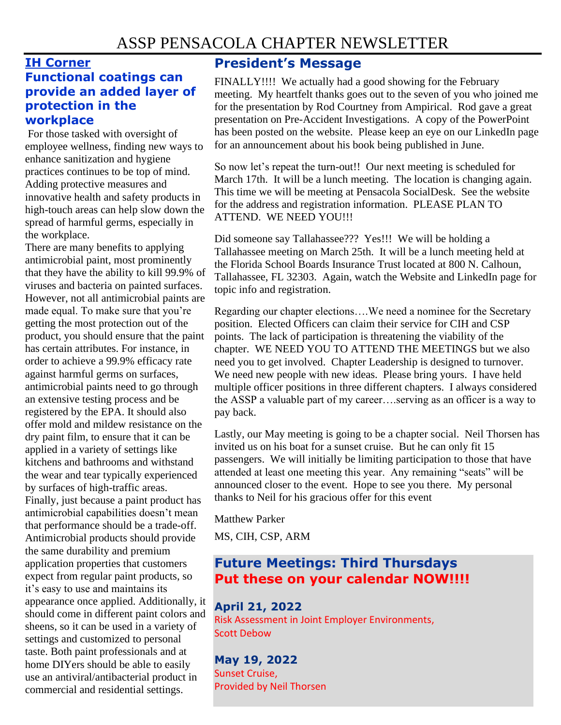### **IH Corner**

#### **Functional coatings can provide an added layer of protection in the workplace**

For those tasked with oversight of employee wellness, finding new ways to enhance sanitization and hygiene practices continues to be top of mind. Adding protective measures and innovative health and safety products in high-touch areas can help slow down the spread of harmful germs, especially in the workplace.

There are many benefits to applying antimicrobial paint, most prominently that they have the ability to kill 99.9% of viruses and bacteria on painted surfaces. However, not all antimicrobial paints are made equal. To make sure that you're getting the most protection out of the product, you should ensure that the paint has certain attributes. For instance, in order to achieve a 99.9% efficacy rate against harmful germs on surfaces, antimicrobial paints need to go through an extensive testing process and be registered by the EPA. It should also offer mold and mildew resistance on the dry paint film, to ensure that it can be applied in a variety of settings like kitchens and bathrooms and withstand the wear and tear typically experienced by surfaces of high-traffic areas. Finally, just because a paint product has antimicrobial capabilities doesn't mean that performance should be a trade-off. Antimicrobial products should provide the same durability and premium application properties that customers expect from regular paint products, so it's easy to use and maintains its appearance once applied. Additionally, it should come in different paint colors and sheens, so it can be used in a variety of settings and customized to personal taste. Both paint professionals and at home DIYers should be able to easily use an antiviral/antibacterial product in commercial and residential settings.

#### **President's Message**

FINALLY!!!! We actually had a good showing for the February meeting. My heartfelt thanks goes out to the seven of you who joined me for the presentation by Rod Courtney from Ampirical. Rod gave a great presentation on Pre-Accident Investigations. A copy of the PowerPoint has been posted on the website. Please keep an eye on our LinkedIn page for an announcement about his book being published in June.

So now let's repeat the turn-out!! Our next meeting is scheduled for March 17th. It will be a lunch meeting. The location is changing again. This time we will be meeting at Pensacola SocialDesk. See the website for the address and registration information. PLEASE PLAN TO ATTEND. WE NEED YOU!!!

Did someone say Tallahassee??? Yes!!! We will be holding a Tallahassee meeting on March 25th. It will be a lunch meeting held at the Florida School Boards Insurance Trust located at 800 N. Calhoun, Tallahassee, FL 32303. Again, watch the Website and LinkedIn page for topic info and registration.

Regarding our chapter elections….We need a nominee for the Secretary position. Elected Officers can claim their service for CIH and CSP points. The lack of participation is threatening the viability of the chapter. WE NEED YOU TO ATTEND THE MEETINGS but we also need you to get involved. Chapter Leadership is designed to turnover. We need new people with new ideas. Please bring yours. I have held multiple officer positions in three different chapters. I always considered the ASSP a valuable part of my career….serving as an officer is a way to pay back.

Lastly, our May meeting is going to be a chapter social. Neil Thorsen has invited us on his boat for a sunset cruise. But he can only fit 15 passengers. We will initially be limiting participation to those that have attended at least one meeting this year. Any remaining "seats" will be announced closer to the event. Hope to see you there. My personal thanks to Neil for his gracious offer for this event

Matthew Parker

MS, CIH, CSP, ARM

#### **Future Meetings: Third Thursdays Put these on your calendar NOW!!!!**

#### **April 21, 2022**

Risk Assessment in Joint Employer Environments, Scott Debow

**May 19, 2022** Sunset Cruise, Provided by Neil Thorsen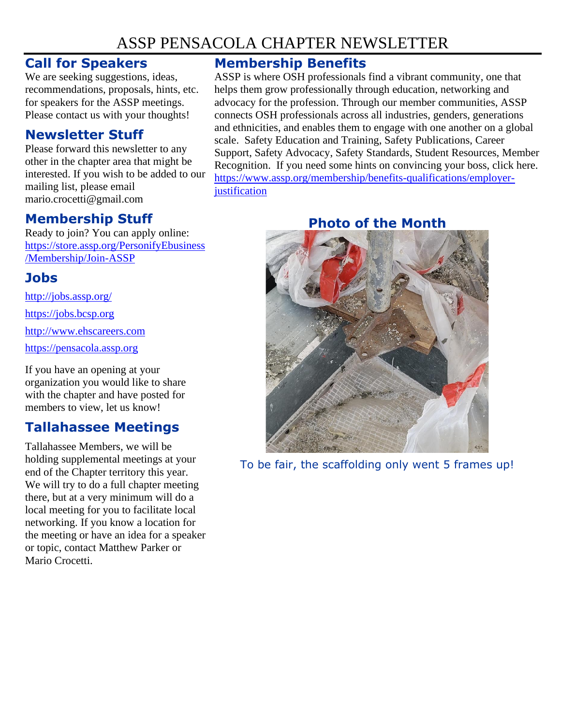## ASSP PENSACOLA CHAPTER NEWSLETTER

#### **Call for Speakers**

We are seeking suggestions, ideas, recommendations, proposals, hints, etc. for speakers for the ASSP meetings. Please contact us with your thoughts!

#### **Newsletter Stuff**

Please forward this newsletter to any other in the chapter area that might be interested. If you wish to be added to our mailing list, please email mario.crocetti@gmail.com

#### **Membership Stuff**

Ready to join? You can apply online: [https://store.assp.org/PersonifyEbusiness](https://store.assp.org/PersonifyEbusiness/Membership/Join-ASSP) [/Membership/Join-ASSP](https://store.assp.org/PersonifyEbusiness/Membership/Join-ASSP)

#### **Jobs**

<http://jobs.assp.org/>

[https://jobs.bcsp.org](https://jobs.bcsp.org/)

[http://www.ehscareers.com](http://www.ehscareers.com/)

[https://pensacola.assp.org](https://pensacola.assp.org/)

If you have an opening at your organization you would like to share with the chapter and have posted for members to view, let us know!

## **Tallahassee Meetings**

Tallahassee Members, we will be holding supplemental meetings at your end of the Chapter territory this year. We will try to do a full chapter meeting there, but at a very minimum will do a local meeting for you to facilitate local networking. If you know a location for the meeting or have an idea for a speaker or topic, contact Matthew Parker or Mario Crocetti.

#### **Membership Benefits**

ASSP is where OSH professionals find a vibrant community, one that helps them grow professionally through education, networking and advocacy for the profession. Through our member communities, ASSP connects OSH professionals across all industries, genders, generations and ethnicities, and enables them to engage with one another on a global scale. Safety Education and Training, Safety Publications, Career Support, Safety Advocacy, Safety Standards, Student Resources, Member Recognition. If you need some hints on convincing your boss, click here. [https://www.assp.org/membership/benefits-qualifications/employer](https://www.assp.org/membership/benefits-qualifications/employer-justification)[justification](https://www.assp.org/membership/benefits-qualifications/employer-justification)

### **Photo of the Month**



To be fair, the scaffolding only went 5 frames up!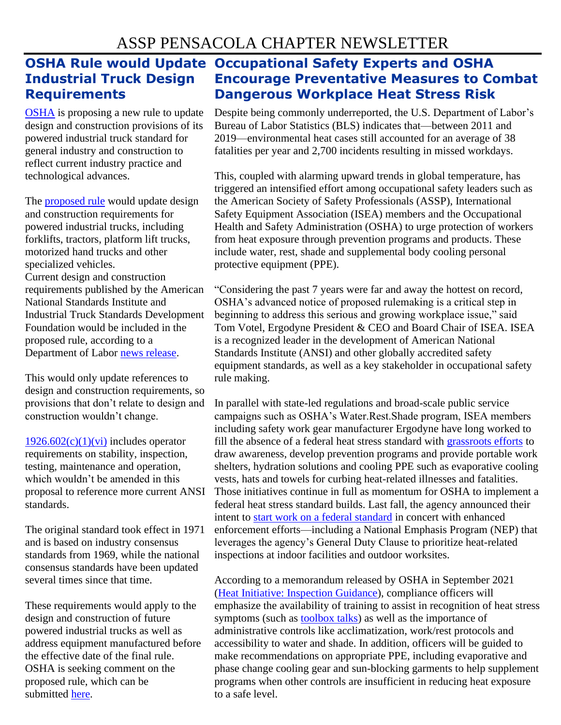# **Industrial Truck Design Requirements**

[OSHA](https://www.safetynewsalert.com/articles/oshas-top-10-violations-2020/) is proposing a new rule to update design and construction provisions of its powered industrial truck standard for general industry and construction to reflect current industry practice and technological advances.

The [proposed rule](https://www.federalregister.gov/documents/2022/02/16/2022-01155/powered-industrial-trucks-design-standard-update) would update design and construction requirements for powered industrial trucks, including forklifts, tractors, platform lift trucks, motorized hand trucks and other specialized vehicles.

Current design and construction requirements published by the American National Standards Institute and Industrial Truck Standards Development Foundation would be included in the proposed rule, according to a Department of Labor [news release.](https://www.dol.gov/newsroom/releases/osha/osha20220215)

This would only update references to design and construction requirements, so provisions that don't relate to design and construction wouldn't change.

 $1926.602(c)(1)(vi)$  includes operator requirements on stability, inspection, testing, maintenance and operation, which wouldn't be amended in this proposal to reference more current ANSI standards.

The original standard took effect in 1971 and is based on industry consensus standards from 1969, while the national consensus standards have been updated several times since that time.

These requirements would apply to the design and construction of future powered industrial trucks as well as address equipment manufactured before the effective date of the final rule. OSHA is seeking comment on the proposed rule, which can be submitted [here.](https://www.regulations.gov/)

### **OSHA Rule would Update Occupational Safety Experts and OSHA Encourage Preventative Measures to Combat Dangerous Workplace Heat Stress Risk**

Despite being commonly underreported, the U.S. Department of Labor's Bureau of Labor Statistics (BLS) indicates that—between 2011 and 2019—environmental heat cases still accounted for an average of 38 fatalities per year and 2,700 incidents resulting in missed workdays.

This, coupled with alarming upward trends in global temperature, has triggered an intensified effort among occupational safety leaders such as the American Society of Safety Professionals (ASSP), International Safety Equipment Association (ISEA) members and the Occupational Health and Safety Administration (OSHA) to urge protection of workers from heat exposure through prevention programs and products. These include water, rest, shade and supplemental body cooling personal protective equipment (PPE).

"Considering the past 7 years were far and away the hottest on record, OSHA's advanced notice of proposed rulemaking is a critical step in beginning to address this serious and growing workplace issue," said Tom Votel, Ergodyne President & CEO and Board Chair of ISEA. ISEA is a recognized leader in the development of American National Standards Institute (ANSI) and other globally accredited safety equipment standards, as well as a key stakeholder in occupational safety rule making.

In parallel with state-led regulations and broad-scale public service campaigns such as OSHA's Water.Rest.Shade program, ISEA members including safety work gear manufacturer Ergodyne have long worked to fill the absence of a federal heat stress standard with [grassroots efforts](https://protect-us.mimecast.com/s/FXixCn5GYPCKV75JfNZ4lx?domain=link.mediaoutreach.meltwater.com) to draw awareness, develop prevention programs and provide portable work shelters, hydration solutions and cooling PPE such as evaporative cooling vests, hats and towels for curbing heat-related illnesses and fatalities. Those initiatives continue in full as momentum for OSHA to implement a federal heat stress standard builds. Last fall, the agency announced their intent to [start work on a federal standard](https://protect-us.mimecast.com/s/yotjCo2AvPSBmr47c6-vsy?domain=link.mediaoutreach.meltwater.com) in concert with enhanced enforcement efforts—including a National Emphasis Program (NEP) that leverages the agency's General Duty Clause to prioritize heat-related inspections at indoor facilities and outdoor worksites.

According to a memorandum released by OSHA in September 2021 [\(Heat Initiative: Inspection Guidance\)](https://protect-us.mimecast.com/s/pvUcCpY9RPhvZnDjtJJvHT?domain=link.mediaoutreach.meltwater.com), compliance officers will emphasize the availability of training to assist in recognition of heat stress symptoms (such as [toolbox talks\)](https://protect-us.mimecast.com/s/mq7WCqxAV9Szv8Wpfrdj9l?domain=link.mediaoutreach.meltwater.com) as well as the importance of administrative controls like acclimatization, work/rest protocols and accessibility to water and shade. In addition, officers will be guided to make recommendations on appropriate PPE, including evaporative and phase change cooling gear and sun-blocking garments to help supplement programs when other controls are insufficient in reducing heat exposure to a safe level.